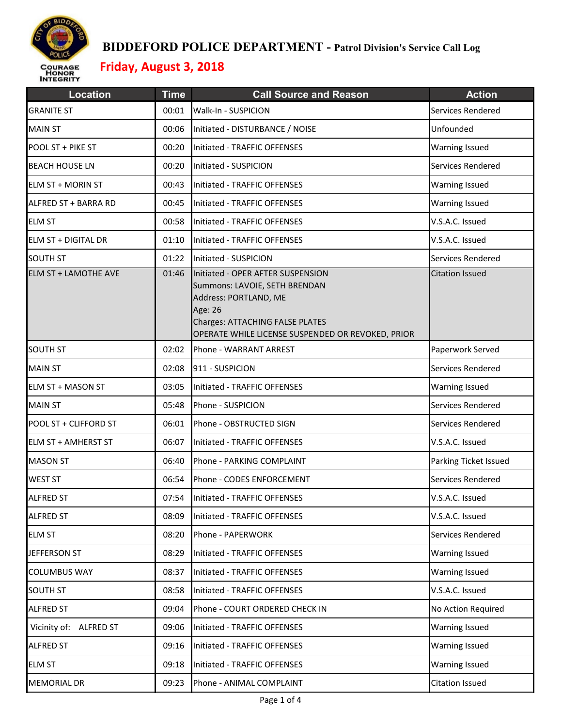

| <b>Location</b>             | <b>Time</b> | <b>Call Source and Reason</b>                                                                                                                                                                         | <b>Action</b>          |
|-----------------------------|-------------|-------------------------------------------------------------------------------------------------------------------------------------------------------------------------------------------------------|------------------------|
| <b>GRANITE ST</b>           | 00:01       | Walk-In - SUSPICION                                                                                                                                                                                   | Services Rendered      |
| <b>MAIN ST</b>              | 00:06       | Initiated - DISTURBANCE / NOISE                                                                                                                                                                       | Unfounded              |
| POOL ST + PIKE ST           | 00:20       | Initiated - TRAFFIC OFFENSES                                                                                                                                                                          | Warning Issued         |
| <b>BEACH HOUSE LN</b>       | 00:20       | Initiated - SUSPICION                                                                                                                                                                                 | Services Rendered      |
| <b>ELM ST + MORIN ST</b>    | 00:43       | Initiated - TRAFFIC OFFENSES                                                                                                                                                                          | Warning Issued         |
| ALFRED ST + BARRA RD        | 00:45       | Initiated - TRAFFIC OFFENSES                                                                                                                                                                          | Warning Issued         |
| <b>ELM ST</b>               | 00:58       | Initiated - TRAFFIC OFFENSES                                                                                                                                                                          | V.S.A.C. Issued        |
| <b>ELM ST + DIGITAL DR</b>  | 01:10       | Initiated - TRAFFIC OFFENSES                                                                                                                                                                          | V.S.A.C. Issued        |
| <b>SOUTH ST</b>             | 01:22       | Initiated - SUSPICION                                                                                                                                                                                 | Services Rendered      |
| <b>ELM ST + LAMOTHE AVE</b> | 01:46       | Initiated - OPER AFTER SUSPENSION<br>Summons: LAVOIE, SETH BRENDAN<br>Address: PORTLAND, ME<br>Age: 26<br><b>Charges: ATTACHING FALSE PLATES</b><br>OPERATE WHILE LICENSE SUSPENDED OR REVOKED, PRIOR | <b>Citation Issued</b> |
| <b>SOUTH ST</b>             | 02:02       | Phone - WARRANT ARREST                                                                                                                                                                                | Paperwork Served       |
| <b>MAIN ST</b>              | 02:08       | 911 - SUSPICION                                                                                                                                                                                       | Services Rendered      |
| ELM ST + MASON ST           | 03:05       | Initiated - TRAFFIC OFFENSES                                                                                                                                                                          | <b>Warning Issued</b>  |
| <b>MAIN ST</b>              | 05:48       | Phone - SUSPICION                                                                                                                                                                                     | Services Rendered      |
| POOL ST + CLIFFORD ST       | 06:01       | Phone - OBSTRUCTED SIGN                                                                                                                                                                               | Services Rendered      |
| <b>ELM ST + AMHERST ST</b>  | 06:07       | Initiated - TRAFFIC OFFENSES                                                                                                                                                                          | V.S.A.C. Issued        |
| <b>MASON ST</b>             | 06:40       | Phone - PARKING COMPLAINT                                                                                                                                                                             | Parking Ticket Issued  |
| <b>WEST ST</b>              | 06:54       | Phone - CODES ENFORCEMENT                                                                                                                                                                             | Services Rendered      |
| <b>ALFRED ST</b>            | 07:54       | Initiated - TRAFFIC OFFENSES                                                                                                                                                                          | V.S.A.C. Issued        |
| <b>ALFRED ST</b>            | 08:09       | Initiated - TRAFFIC OFFENSES                                                                                                                                                                          | V.S.A.C. Issued        |
| <b>ELM ST</b>               | 08:20       | Phone - PAPERWORK                                                                                                                                                                                     | Services Rendered      |
| JEFFERSON ST                | 08:29       | Initiated - TRAFFIC OFFENSES                                                                                                                                                                          | Warning Issued         |
| <b>COLUMBUS WAY</b>         | 08:37       | Initiated - TRAFFIC OFFENSES                                                                                                                                                                          | <b>Warning Issued</b>  |
| <b>SOUTH ST</b>             | 08:58       | Initiated - TRAFFIC OFFENSES                                                                                                                                                                          | V.S.A.C. Issued        |
| <b>ALFRED ST</b>            | 09:04       | Phone - COURT ORDERED CHECK IN                                                                                                                                                                        | No Action Required     |
| Vicinity of: ALFRED ST      | 09:06       | Initiated - TRAFFIC OFFENSES                                                                                                                                                                          | <b>Warning Issued</b>  |
| ALFRED ST                   | 09:16       | Initiated - TRAFFIC OFFENSES                                                                                                                                                                          | Warning Issued         |
| <b>ELM ST</b>               | 09:18       | Initiated - TRAFFIC OFFENSES                                                                                                                                                                          | <b>Warning Issued</b>  |
| <b>MEMORIAL DR</b>          | 09:23       | Phone - ANIMAL COMPLAINT                                                                                                                                                                              | <b>Citation Issued</b> |
|                             |             |                                                                                                                                                                                                       |                        |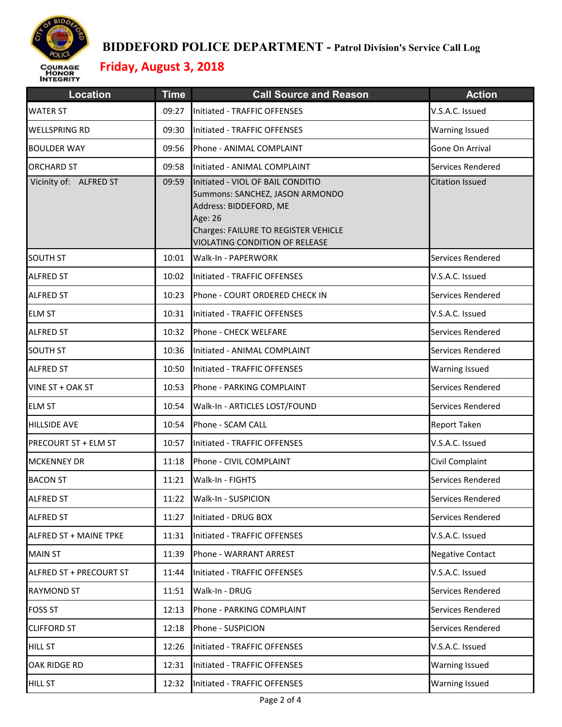

| <b>Location</b>               | <b>Time</b> | <b>Call Source and Reason</b>                                                                                                                                                       | <b>Action</b>           |
|-------------------------------|-------------|-------------------------------------------------------------------------------------------------------------------------------------------------------------------------------------|-------------------------|
| <b>WATER ST</b>               | 09:27       | Initiated - TRAFFIC OFFENSES                                                                                                                                                        | V.S.A.C. Issued         |
| WELLSPRING RD                 | 09:30       | Initiated - TRAFFIC OFFENSES                                                                                                                                                        | <b>Warning Issued</b>   |
| <b>BOULDER WAY</b>            | 09:56       | Phone - ANIMAL COMPLAINT                                                                                                                                                            | Gone On Arrival         |
| <b>ORCHARD ST</b>             | 09:58       | Initiated - ANIMAL COMPLAINT                                                                                                                                                        | Services Rendered       |
| Vicinity of: ALFRED ST        | 09:59       | Initiated - VIOL OF BAIL CONDITIO<br>Summons: SANCHEZ, JASON ARMONDO<br>Address: BIDDEFORD, ME<br>Age: 26<br>Charges: FAILURE TO REGISTER VEHICLE<br>VIOLATING CONDITION OF RELEASE | <b>Citation Issued</b>  |
| <b>SOUTH ST</b>               | 10:01       | Walk-In - PAPERWORK                                                                                                                                                                 | Services Rendered       |
| <b>ALFRED ST</b>              | 10:02       | Initiated - TRAFFIC OFFENSES                                                                                                                                                        | V.S.A.C. Issued         |
| <b>ALFRED ST</b>              | 10:23       | Phone - COURT ORDERED CHECK IN                                                                                                                                                      | Services Rendered       |
| <b>ELM ST</b>                 | 10:31       | Initiated - TRAFFIC OFFENSES                                                                                                                                                        | V.S.A.C. Issued         |
| <b>ALFRED ST</b>              | 10:32       | Phone - CHECK WELFARE                                                                                                                                                               | Services Rendered       |
| <b>SOUTH ST</b>               | 10:36       | Initiated - ANIMAL COMPLAINT                                                                                                                                                        | Services Rendered       |
| <b>ALFRED ST</b>              | 10:50       | Initiated - TRAFFIC OFFENSES                                                                                                                                                        | <b>Warning Issued</b>   |
| VINE ST + OAK ST              | 10:53       | Phone - PARKING COMPLAINT                                                                                                                                                           | Services Rendered       |
| <b>ELM ST</b>                 | 10:54       | Walk-In - ARTICLES LOST/FOUND                                                                                                                                                       | Services Rendered       |
| <b>HILLSIDE AVE</b>           | 10:54       | Phone - SCAM CALL                                                                                                                                                                   | <b>Report Taken</b>     |
| PRECOURT ST + ELM ST          | 10:57       | Initiated - TRAFFIC OFFENSES                                                                                                                                                        | V.S.A.C. Issued         |
| <b>MCKENNEY DR</b>            | 11:18       | Phone - CIVIL COMPLAINT                                                                                                                                                             | Civil Complaint         |
| <b>BACON ST</b>               | 11:21       | Walk-In - FIGHTS                                                                                                                                                                    | Services Rendered       |
| <b>ALFRED ST</b>              | 11:22       | Walk-In - SUSPICION                                                                                                                                                                 | Services Rendered       |
| <b>ALFRED ST</b>              | 11:27       | Initiated - DRUG BOX                                                                                                                                                                | Services Rendered       |
| <b>ALFRED ST + MAINE TPKE</b> | 11:31       | Initiated - TRAFFIC OFFENSES                                                                                                                                                        | V.S.A.C. Issued         |
| <b>MAIN ST</b>                | 11:39       | Phone - WARRANT ARREST                                                                                                                                                              | <b>Negative Contact</b> |
| ALFRED ST + PRECOURT ST       | 11:44       | Initiated - TRAFFIC OFFENSES                                                                                                                                                        | V.S.A.C. Issued         |
| <b>RAYMOND ST</b>             | 11:51       | Walk-In - DRUG                                                                                                                                                                      | Services Rendered       |
| <b>FOSS ST</b>                | 12:13       | Phone - PARKING COMPLAINT                                                                                                                                                           | Services Rendered       |
| <b>CLIFFORD ST</b>            | 12:18       | Phone - SUSPICION                                                                                                                                                                   | Services Rendered       |
| <b>HILL ST</b>                | 12:26       | Initiated - TRAFFIC OFFENSES                                                                                                                                                        | V.S.A.C. Issued         |
| OAK RIDGE RD                  | 12:31       | Initiated - TRAFFIC OFFENSES                                                                                                                                                        | <b>Warning Issued</b>   |
| <b>HILL ST</b>                | 12:32       | Initiated - TRAFFIC OFFENSES                                                                                                                                                        | Warning Issued          |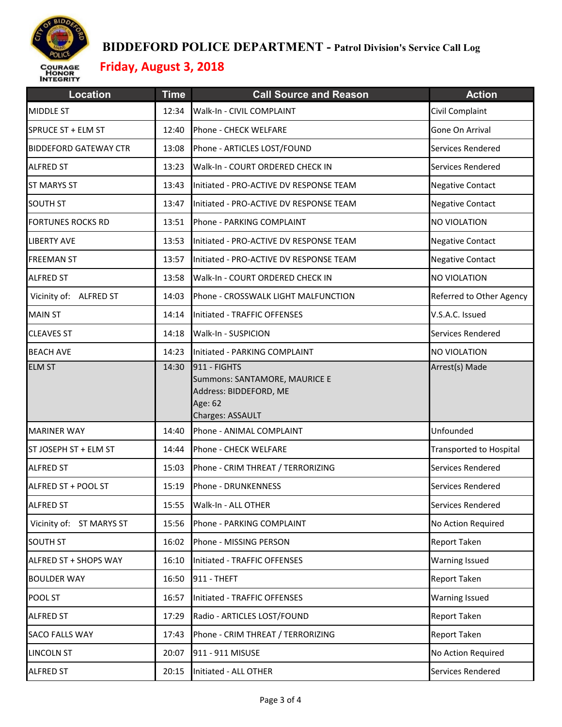

| <b>Location</b>              | <b>Time</b> | <b>Call Source and Reason</b>                                                                          | <b>Action</b>                  |
|------------------------------|-------------|--------------------------------------------------------------------------------------------------------|--------------------------------|
| <b>MIDDLE ST</b>             | 12:34       | Walk-In - CIVIL COMPLAINT                                                                              | Civil Complaint                |
| SPRUCE ST + ELM ST           | 12:40       | Phone - CHECK WELFARE                                                                                  | Gone On Arrival                |
| <b>BIDDEFORD GATEWAY CTR</b> | 13:08       | Phone - ARTICLES LOST/FOUND                                                                            | Services Rendered              |
| <b>ALFRED ST</b>             | 13:23       | Walk-In - COURT ORDERED CHECK IN                                                                       | Services Rendered              |
| <b>ST MARYS ST</b>           | 13:43       | Initiated - PRO-ACTIVE DV RESPONSE TEAM                                                                | <b>Negative Contact</b>        |
| <b>SOUTH ST</b>              | 13:47       | Initiated - PRO-ACTIVE DV RESPONSE TEAM                                                                | <b>Negative Contact</b>        |
| <b>FORTUNES ROCKS RD</b>     | 13:51       | Phone - PARKING COMPLAINT                                                                              | <b>NO VIOLATION</b>            |
| <b>LIBERTY AVE</b>           | 13:53       | Initiated - PRO-ACTIVE DV RESPONSE TEAM                                                                | <b>Negative Contact</b>        |
| <b>FREEMAN ST</b>            | 13:57       | Initiated - PRO-ACTIVE DV RESPONSE TEAM                                                                | <b>Negative Contact</b>        |
| <b>ALFRED ST</b>             | 13:58       | Walk-In - COURT ORDERED CHECK IN                                                                       | NO VIOLATION                   |
| Vicinity of: ALFRED ST       | 14:03       | Phone - CROSSWALK LIGHT MALFUNCTION                                                                    | Referred to Other Agency       |
| <b>MAIN ST</b>               | 14:14       | Initiated - TRAFFIC OFFENSES                                                                           | V.S.A.C. Issued                |
| <b>CLEAVES ST</b>            | 14:18       | Walk-In - SUSPICION                                                                                    | Services Rendered              |
| <b>BEACH AVE</b>             | 14:23       | Initiated - PARKING COMPLAINT                                                                          | <b>NO VIOLATION</b>            |
| <b>ELM ST</b>                | 14:30       | 911 - FIGHTS<br>Summons: SANTAMORE, MAURICE E<br>Address: BIDDEFORD, ME<br>Age: 62<br>Charges: ASSAULT | Arrest(s) Made                 |
| <b>MARINER WAY</b>           | 14:40       | Phone - ANIMAL COMPLAINT                                                                               | Unfounded                      |
| ST JOSEPH ST + ELM ST        | 14:44       | Phone - CHECK WELFARE                                                                                  | <b>Transported to Hospital</b> |
| <b>ALFRED ST</b>             | 15:03       | Phone - CRIM THREAT / TERRORIZING                                                                      | Services Rendered              |
| ALFRED ST + POOL ST          | 15:19       | Phone - DRUNKENNESS                                                                                    | Services Rendered              |
| <b>ALFRED ST</b>             | 15:55       | Walk-In - ALL OTHER                                                                                    | Services Rendered              |
| Vicinity of: ST MARYS ST     | 15:56       | Phone - PARKING COMPLAINT                                                                              | No Action Required             |
| <b>SOUTH ST</b>              | 16:02       | Phone - MISSING PERSON                                                                                 | <b>Report Taken</b>            |
| ALFRED ST + SHOPS WAY        | 16:10       | Initiated - TRAFFIC OFFENSES                                                                           | <b>Warning Issued</b>          |
| <b>BOULDER WAY</b>           | 16:50       | 911 - THEFT                                                                                            | Report Taken                   |
| POOL ST                      | 16:57       | Initiated - TRAFFIC OFFENSES                                                                           | <b>Warning Issued</b>          |
| <b>ALFRED ST</b>             | 17:29       | Radio - ARTICLES LOST/FOUND                                                                            | <b>Report Taken</b>            |
| SACO FALLS WAY               | 17:43       | Phone - CRIM THREAT / TERRORIZING                                                                      | <b>Report Taken</b>            |
| <b>LINCOLN ST</b>            | 20:07       | 911 - 911 MISUSE                                                                                       | No Action Required             |
| <b>ALFRED ST</b>             | 20:15       | Initiated - ALL OTHER                                                                                  | Services Rendered              |